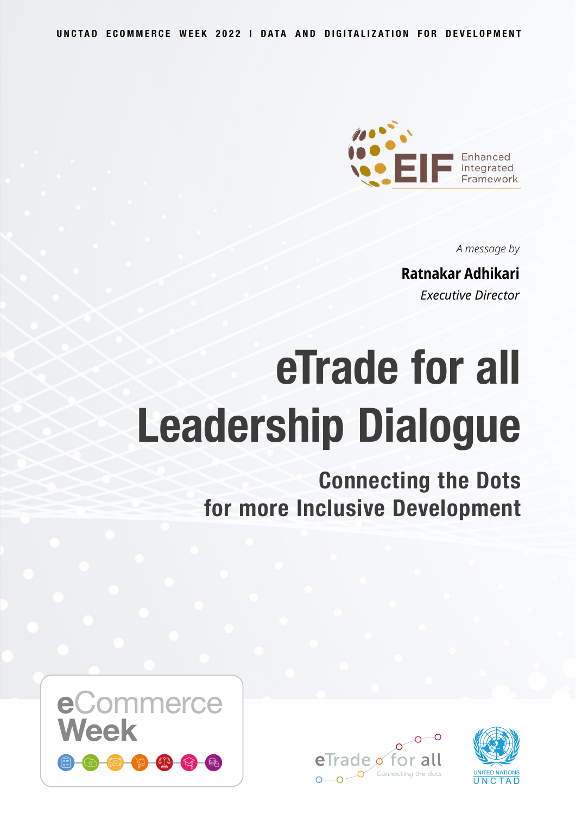

*A message by*

#### **Ratnakar Adhikari**

*Executive Director*

# **eTrade for all Leadership Dialogue**

**Connecting the Dots for more Inclusive Development**





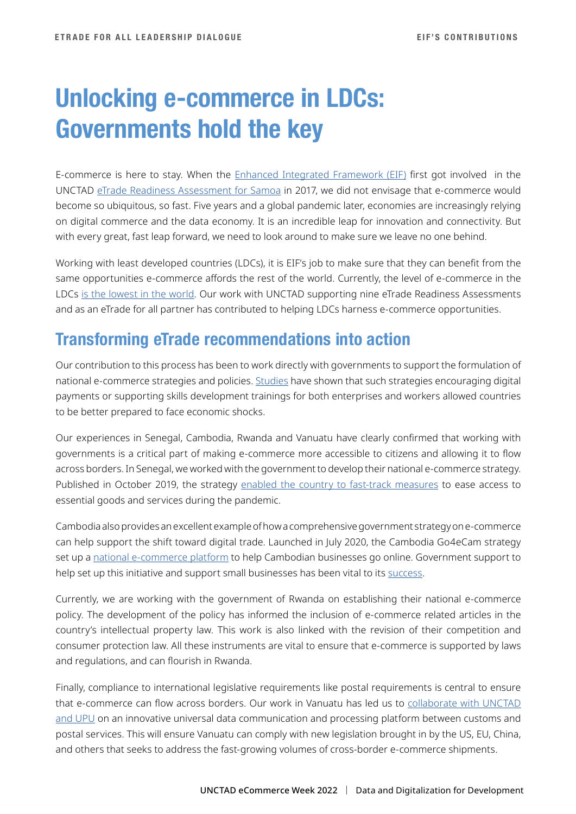# **Unlocking e-commerce in LDCs: Governments hold the key**

E-commerce is here to stay. When the [Enhanced Integrated Framework \(EIF\)](http://Enhanced Integrated Framework (EIF)) first got involved in the UNCTAD [eTrade Readiness Assessment for Samoa](http://eTrade Readiness Assessment for Samoa) in 2017, we did not envisage that e-commerce would become so ubiquitous, so fast. Five years and a global pandemic later, economies are increasingly relying on digital commerce and the data economy. It is an incredible leap for innovation and connectivity. But with every great, fast leap forward, we need to look around to make sure we leave no one behind.

Working with least developed countries (LDCs), it is EIF's job to make sure that they can benefit from the same opportunities e-commerce affords the rest of the world. Currently, the level of e-commerce in the LDCs [is the lowest in the world.](http://is the lowest in the world) Our work with UNCTAD supporting nine eTrade Readiness Assessments and as an eTrade for all partner has contributed to helping LDCs harness e-commerce opportunities.

### **Transforming eTrade recommendations into action**

Our contribution to this process has been to work directly with governments to support the formulation of national e-commerce strategies and policies. [Studies](http://Studies) have shown that such strategies encouraging digital payments or supporting skills development trainings for both enterprises and workers allowed countries to be better prepared to face economic shocks.

Our experiences in Senegal, Cambodia, Rwanda and Vanuatu have clearly confirmed that working with governments is a critical part of making e-commerce more accessible to citizens and allowing it to flow across borders. In Senegal, we worked with the government to develop their national e-commerce strategy. Published in October 2019, the strategy [enabled the country to fast-track measures](http://enabled the country to fast-track measures) to ease access to essential goods and services during the pandemic.

Cambodia also provides an excellent example of how a comprehensive government strategy on e-commerce can help support the shift toward digital trade. Launched in July 2020, the Cambodia Go4eCam strategy set up a [national e-commerce platform](http://national e-commerce platform) to help Cambodian businesses go online. Government support to help set up this initiative and support small businesses has been vital to its [success.](http://success)

Currently, we are working with the government of Rwanda on establishing their national e-commerce policy. The development of the policy has informed the inclusion of e-commerce related articles in the country's intellectual property law. This work is also linked with the revision of their competition and consumer protection law. All these instruments are vital to ensure that e-commerce is supported by laws and regulations, and can flourish in Rwanda.

Finally, compliance to international legislative requirements like postal requirements is central to ensure that e-commerce can flow across borders. Our work in Vanuatu has led us to collaborate with UNCTAD [and UPU](http://collaborate with UNCTAD and UPU) on an innovative universal data communication and processing platform between customs and postal services. This will ensure Vanuatu can comply with new legislation brought in by the US, EU, China, and others that seeks to address the fast-growing volumes of cross-border e-commerce shipments.